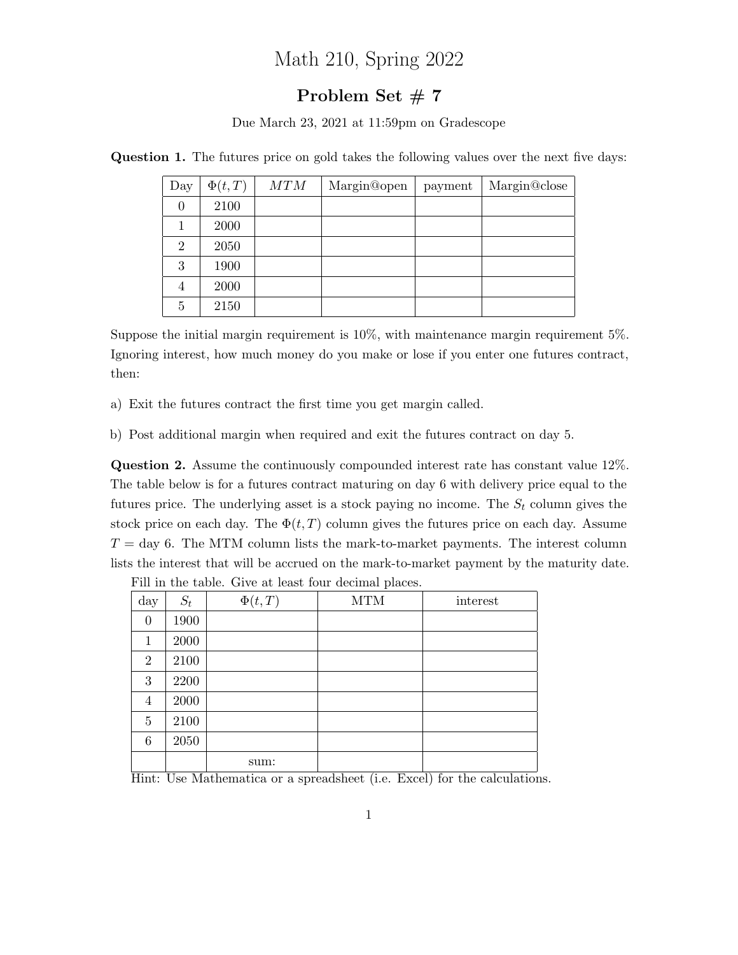## Math 210, Spring 2022

## Problem Set #7

Due March 23, 2021 at 11:59pm on Gradescope

| Day            | $\Phi(t,T)$ | MTM | Margin@open | payment | Margin@close |
|----------------|-------------|-----|-------------|---------|--------------|
| $\theta$       | 2100        |     |             |         |              |
| 1              | 2000        |     |             |         |              |
| $\overline{2}$ | 2050        |     |             |         |              |
| 3              | 1900        |     |             |         |              |
| 4              | 2000        |     |             |         |              |
| 5              | 2150        |     |             |         |              |

Question 1. The futures price on gold takes the following values over the next five days:

Suppose the initial margin requirement is 10%, with maintenance margin requirement 5%. Ignoring interest, how much money do you make or lose if you enter one futures contract, then:

a) Exit the futures contract the first time you get margin called.

b) Post additional margin when required and exit the futures contract on day 5.

Question 2. Assume the continuously compounded interest rate has constant value 12%. The table below is for a futures contract maturing on day 6 with delivery price equal to the futures price. The underlying asset is a stock paying no income. The  $S_t$  column gives the stock price on each day. The  $\Phi(t, T)$  column gives the futures price on each day. Assume  $T = \text{day } 6$ . The MTM column lists the mark-to-market payments. The interest column lists the interest that will be accrued on the mark-to-market payment by the maturity date.

| day            | $S_t$ | $\Phi(t,T)$ | <b>MTM</b> | interest |
|----------------|-------|-------------|------------|----------|
| $\theta$       | 1900  |             |            |          |
| 1              | 2000  |             |            |          |
| $\mathbf{2}$   | 2100  |             |            |          |
| 3              | 2200  |             |            |          |
| 4              | 2000  |             |            |          |
| $\overline{5}$ | 2100  |             |            |          |
| 6              | 2050  |             |            |          |
|                |       | sum:        |            |          |

Fill in the table. Give at least four decimal places.

Hint: Use Mathematica or a spreadsheet (i.e. Excel) for the calculations.